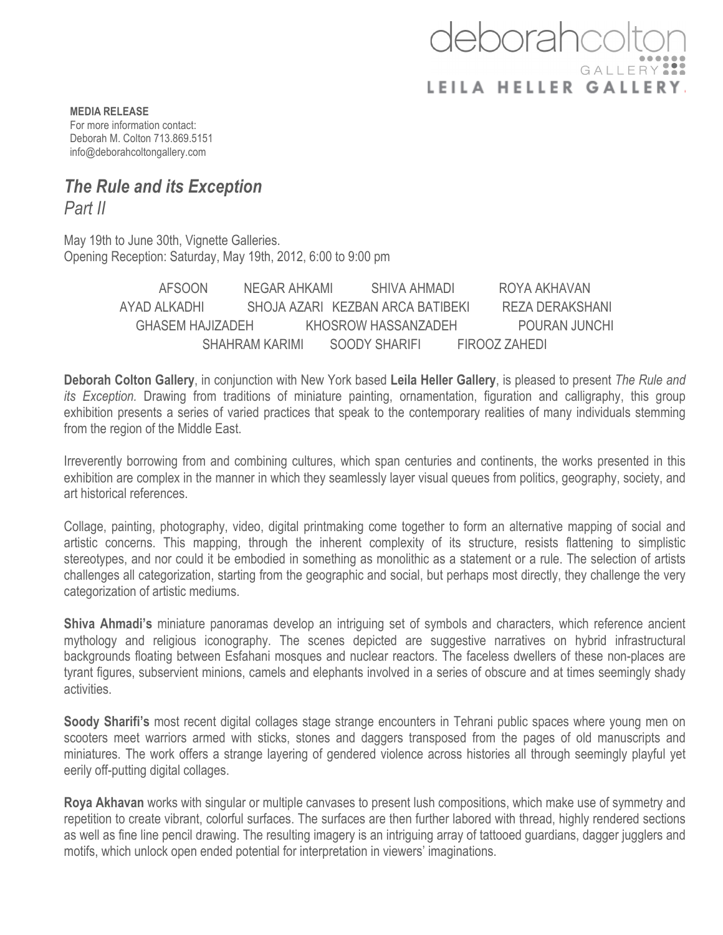## deborahco GALLERY LEILA HELLER GALLERY.

**MEDIA RELEASE** For more information contact: Deborah M. Colton 713.869.5151 info@deborahcoltongallery.com

## *The Rule and its Exception Part II*

May 19th to June 30th, Vignette Galleries. Opening Reception: Saturday, May 19th, 2012, 6:00 to 9:00 pm

> AFSOON NEGAR AHKAMI SHIVA AHMADI ROYA AKHAVAN AYAD ALKADHI SHOJA AZARI KEZBAN ARCA BATIBEKI REZA DERAKSHANI GHASEM HAJIZADEH KHOSROW HASSANZADEH POURAN JUNCHI SHAHRAM KARIMI SOODY SHARIFI FIROOZ ZAHEDI

**Deborah Colton Gallery**, in conjunction with New York based **Leila Heller Gallery**, is pleased to present *The Rule and its Exception.* Drawing from traditions of miniature painting, ornamentation, figuration and calligraphy, this group exhibition presents a series of varied practices that speak to the contemporary realities of many individuals stemming from the region of the Middle East.

Irreverently borrowing from and combining cultures, which span centuries and continents, the works presented in this exhibition are complex in the manner in which they seamlessly layer visual queues from politics, geography, society, and art historical references.

Collage, painting, photography, video, digital printmaking come together to form an alternative mapping of social and artistic concerns. This mapping, through the inherent complexity of its structure, resists flattening to simplistic stereotypes, and nor could it be embodied in something as monolithic as a statement or a rule. The selection of artists challenges all categorization, starting from the geographic and social, but perhaps most directly, they challenge the very categorization of artistic mediums.

**Shiva Ahmadi's** miniature panoramas develop an intriguing set of symbols and characters, which reference ancient mythology and religious iconography. The scenes depicted are suggestive narratives on hybrid infrastructural backgrounds floating between Esfahani mosques and nuclear reactors. The faceless dwellers of these non-places are tyrant figures, subservient minions, camels and elephants involved in a series of obscure and at times seemingly shady activities.

**Soody Sharifi's** most recent digital collages stage strange encounters in Tehrani public spaces where young men on scooters meet warriors armed with sticks, stones and daggers transposed from the pages of old manuscripts and miniatures. The work offers a strange layering of gendered violence across histories all through seemingly playful yet eerily off-putting digital collages.

**Roya Akhavan** works with singular or multiple canvases to present lush compositions, which make use of symmetry and repetition to create vibrant, colorful surfaces. The surfaces are then further labored with thread, highly rendered sections as well as fine line pencil drawing. The resulting imagery is an intriguing array of tattooed guardians, dagger jugglers and motifs, which unlock open ended potential for interpretation in viewers' imaginations.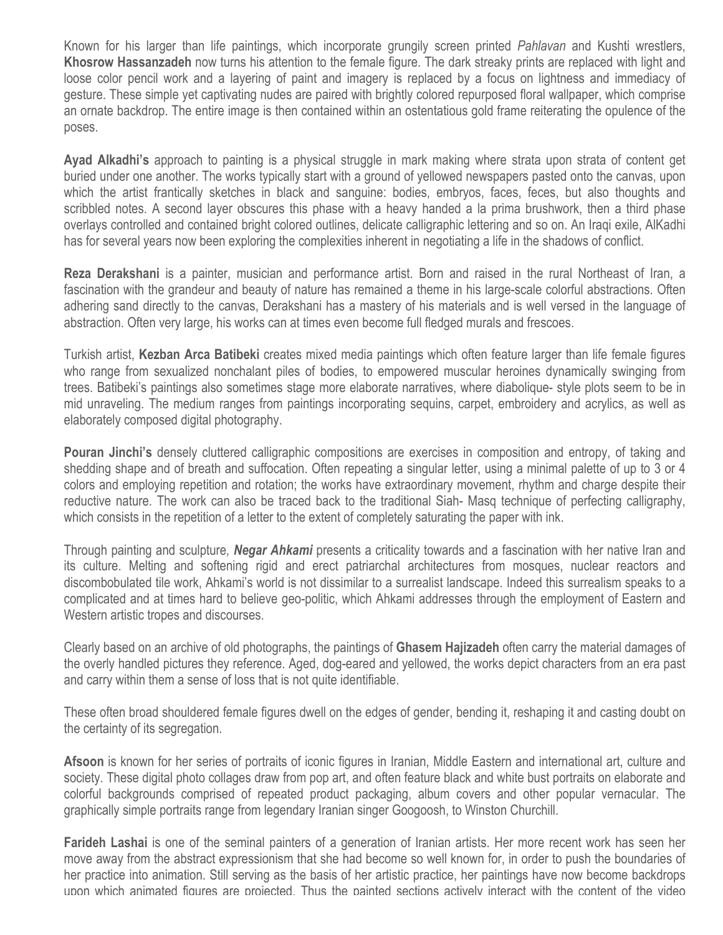Known for his larger than life paintings, which incorporate grungily screen printed *Pahlavan* and Kushti wrestlers, **Khosrow Hassanzadeh** now turns his attention to the female figure. The dark streaky prints are replaced with light and loose color pencil work and a layering of paint and imagery is replaced by a focus on lightness and immediacy of gesture. These simple yet captivating nudes are paired with brightly colored repurposed floral wallpaper, which comprise an ornate backdrop. The entire image is then contained within an ostentatious gold frame reiterating the opulence of the poses.

**Ayad Alkadhi's** approach to painting is a physical struggle in mark making where strata upon strata of content get buried under one another. The works typically start with a ground of yellowed newspapers pasted onto the canvas, upon which the artist frantically sketches in black and sanguine: bodies, embryos, faces, feces, but also thoughts and scribbled notes. A second layer obscures this phase with a heavy handed a la prima brushwork, then a third phase overlays controlled and contained bright colored outlines, delicate calligraphic lettering and so on. An Iraqi exile, AlKadhi has for several years now been exploring the complexities inherent in negotiating a life in the shadows of conflict.

**Reza Derakshani** is a painter, musician and performance artist. Born and raised in the rural Northeast of Iran, a fascination with the grandeur and beauty of nature has remained a theme in his large-scale colorful abstractions. Often adhering sand directly to the canvas, Derakshani has a mastery of his materials and is well versed in the language of abstraction. Often very large, his works can at times even become full fledged murals and frescoes.

Turkish artist, **Kezban Arca Batibeki** creates mixed media paintings which often feature larger than life female figures who range from sexualized nonchalant piles of bodies, to empowered muscular heroines dynamically swinging from trees. Batibeki's paintings also sometimes stage more elaborate narratives, where diabolique- style plots seem to be in mid unraveling. The medium ranges from paintings incorporating sequins, carpet, embroidery and acrylics, as well as elaborately composed digital photography.

**Pouran Jinchi's** densely cluttered calligraphic compositions are exercises in composition and entropy, of taking and shedding shape and of breath and suffocation. Often repeating a singular letter, using a minimal palette of up to 3 or 4 colors and employing repetition and rotation; the works have extraordinary movement, rhythm and charge despite their reductive nature. The work can also be traced back to the traditional Siah- Masq technique of perfecting calligraphy, which consists in the repetition of a letter to the extent of completely saturating the paper with ink.

Through painting and sculpture*, Negar Ahkami* presents a criticality towards and a fascination with her native Iran and its culture. Melting and softening rigid and erect patriarchal architectures from mosques, nuclear reactors and discombobulated tile work, Ahkami's world is not dissimilar to a surrealist landscape. Indeed this surrealism speaks to a complicated and at times hard to believe geo-politic, which Ahkami addresses through the employment of Eastern and Western artistic tropes and discourses.

Clearly based on an archive of old photographs, the paintings of **Ghasem Hajizadeh** often carry the material damages of the overly handled pictures they reference. Aged, dog-eared and yellowed, the works depict characters from an era past and carry within them a sense of loss that is not quite identifiable.

These often broad shouldered female figures dwell on the edges of gender, bending it, reshaping it and casting doubt on the certainty of its segregation.

**Afsoon** is known for her series of portraits of iconic figures in Iranian, Middle Eastern and international art, culture and society. These digital photo collages draw from pop art, and often feature black and white bust portraits on elaborate and colorful backgrounds comprised of repeated product packaging, album covers and other popular vernacular. The graphically simple portraits range from legendary Iranian singer Googoosh, to Winston Churchill.

**Farideh Lashai** is one of the seminal painters of a generation of Iranian artists. Her more recent work has seen her move away from the abstract expressionism that she had become so well known for, in order to push the boundaries of her practice into animation. Still serving as the basis of her artistic practice, her paintings have now become backdrops upon which animated figures are projected. Thus the painted sections actively interact with the content of the video